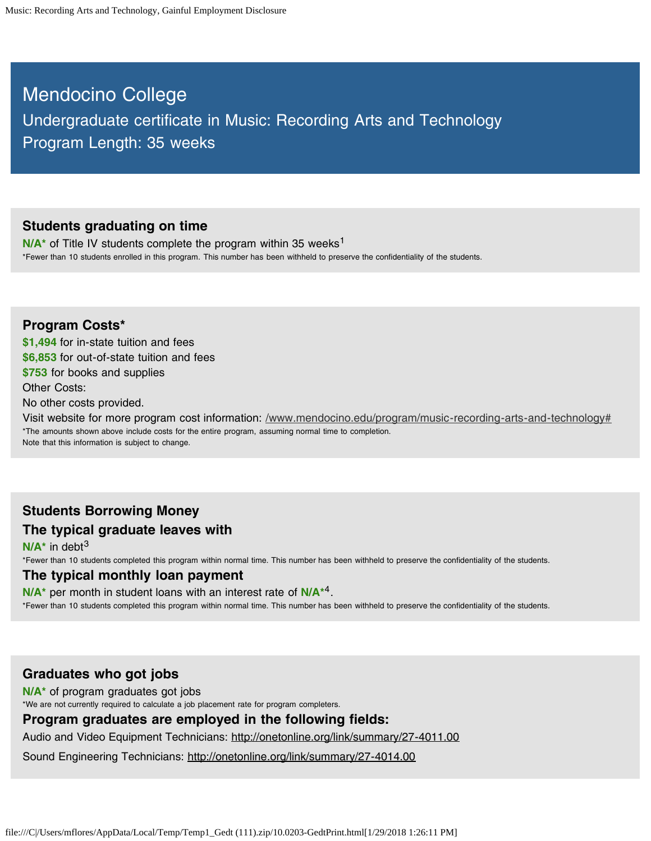# Mendocino College Undergraduate certificate in Music: Recording Arts and Technology Program Length: 35 weeks

#### **Students graduating on time**

N/A<sup>\*</sup> of Title IV students complete the program within 35 weeks<sup>1</sup> \*Fewer than 10 students enrolled in this program. This number has been withheld to preserve the confidentiality of the students.

### **Program Costs\***

**\$1,494** for in-state tuition and fees **\$6,853** for out-of-state tuition and fees **\$753** for books and supplies Other Costs: No other costs provided. Visit website for more program cost information: /www.mendocino.edu/program/music-recording-arts-and-technology# \*The amounts shown above include costs for the entire program, assuming normal time to completion.

Note that this information is subject to change.

# **Students Borrowing Money**

**The typical graduate leaves with**

**N/A\*** in debt 3

\*Fewer than 10 students completed this program within normal time. This number has been withheld to preserve the confidentiality of the students.

#### **The typical monthly loan payment**

N/A<sup>\*</sup> per month in student loans with an interest rate of N/A<sup>\*4</sup>. \*Fewer than 10 students completed this program within normal time. This number has been withheld to preserve the confidentiality of the students.

### **Graduates who got jobs**

**N/A\*** of program graduates got jobs

\*We are not currently required to calculate a job placement rate for program completers.

### **Program graduates are employed in the following fields:**

Audio and Video Equipment Technicians: http://onetonline.org/link/summary/27-4011.00

Sound Engineering Technicians: http://onetonline.org/link/summary/27-4014.00